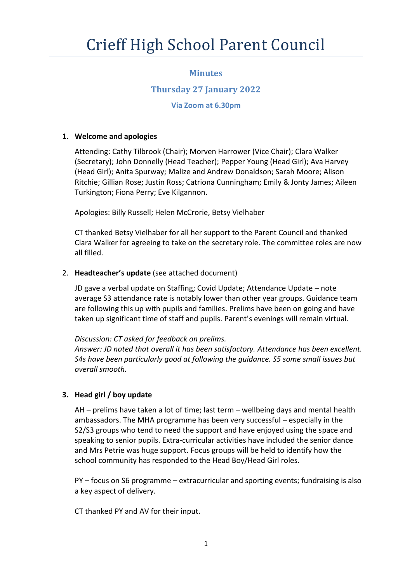# **Minutes**

# **Thursday 27 January 2022**

# **Via Zoom at 6.30pm**

### **1. Welcome and apologies**

Attending: Cathy Tilbrook (Chair); Morven Harrower (Vice Chair); Clara Walker (Secretary); John Donnelly (Head Teacher); Pepper Young (Head Girl); Ava Harvey (Head Girl); Anita Spurway; Malize and Andrew Donaldson; Sarah Moore; Alison Ritchie; Gillian Rose; Justin Ross; Catriona Cunningham; Emily & Jonty James; Aileen Turkington; Fiona Perry; Eve Kilgannon.

Apologies: Billy Russell; Helen McCrorie, Betsy Vielhaber

CT thanked Betsy Vielhaber for all her support to the Parent Council and thanked Clara Walker for agreeing to take on the secretary role. The committee roles are now all filled.

# 2. **Headteacher's update** (see attached document)

JD gave a verbal update on Staffing; Covid Update; Attendance Update – note average S3 attendance rate is notably lower than other year groups. Guidance team are following this up with pupils and families. Prelims have been on going and have taken up significant time of staff and pupils. Parent's evenings will remain virtual.

### *Discussion: CT asked for feedback on prelims.*

*Answer: JD noted that overall it has been satisfactory. Attendance has been excellent. S4s have been particularly good at following the guidance. S5 some small issues but overall smooth.*

# **3. Head girl / boy update**

AH – prelims have taken a lot of time; last term – wellbeing days and mental health ambassadors. The MHA programme has been very successful – especially in the S2/S3 groups who tend to need the support and have enjoyed using the space and speaking to senior pupils. Extra-curricular activities have included the senior dance and Mrs Petrie was huge support. Focus groups will be held to identify how the school community has responded to the Head Boy/Head Girl roles.

PY – focus on S6 programme – extracurricular and sporting events; fundraising is also a key aspect of delivery.

CT thanked PY and AV for their input.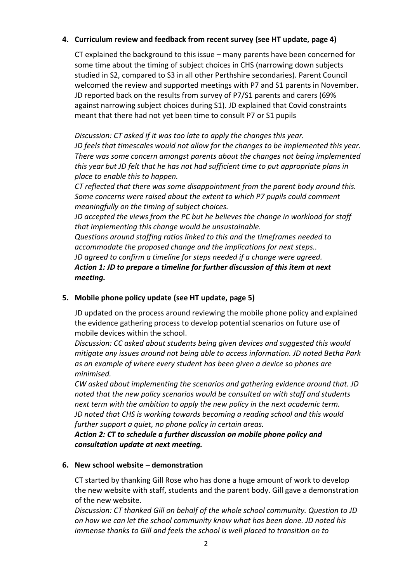#### **4. Curriculum review and feedback from recent survey (see HT update, page 4)**

CT explained the background to this issue – many parents have been concerned for some time about the timing of subject choices in CHS (narrowing down subjects studied in S2, compared to S3 in all other Perthshire secondaries). Parent Council welcomed the review and supported meetings with P7 and S1 parents in November. JD reported back on the results from survey of P7/S1 parents and carers (69% against narrowing subject choices during S1). JD explained that Covid constraints meant that there had not yet been time to consult P7 or S1 pupils

*Discussion: CT asked if it was too late to apply the changes this year.*

*JD feels that timescales would not allow for the changes to be implemented this year. There was some concern amongst parents about the changes not being implemented this year but JD felt that he has not had sufficient time to put appropriate plans in place to enable this to happen.*

*CT reflected that there was some disappointment from the parent body around this. Some concerns were raised about the extent to which P7 pupils could comment meaningfully on the timing of subject choices.*

*JD accepted the views from the PC but he believes the change in workload for staff that implementing this change would be unsustainable.* 

*Questions around staffing ratios linked to this and the timeframes needed to accommodate the proposed change and the implications for next steps.. JD agreed to confirm a timeline for steps needed if a change were agreed. Action 1: JD to prepare a timeline for further discussion of this item at next meeting.*

### **5. Mobile phone policy update (see HT update, page 5)**

JD updated on the process around reviewing the mobile phone policy and explained the evidence gathering process to develop potential scenarios on future use of mobile devices within the school.

*Discussion: CC asked about students being given devices and suggested this would mitigate any issues around not being able to access information. JD noted Betha Park as an example of where every student has been given a device so phones are minimised.* 

*CW asked about implementing the scenarios and gathering evidence around that. JD noted that the new policy scenarios would be consulted on with staff and students next term with the ambition to apply the new policy in the next academic term. JD noted that CHS is working towards becoming a reading school and this would further support a quiet, no phone policy in certain areas.* 

*Action 2: CT to schedule a further discussion on mobile phone policy and consultation update at next meeting.*

### **6. New school website – demonstration**

CT started by thanking Gill Rose who has done a huge amount of work to develop the new website with staff, students and the parent body. Gill gave a demonstration of the new website.

*Discussion: CT thanked Gill on behalf of the whole school community. Question to JD on how we can let the school community know what has been done. JD noted his immense thanks to Gill and feels the school is well placed to transition on to*